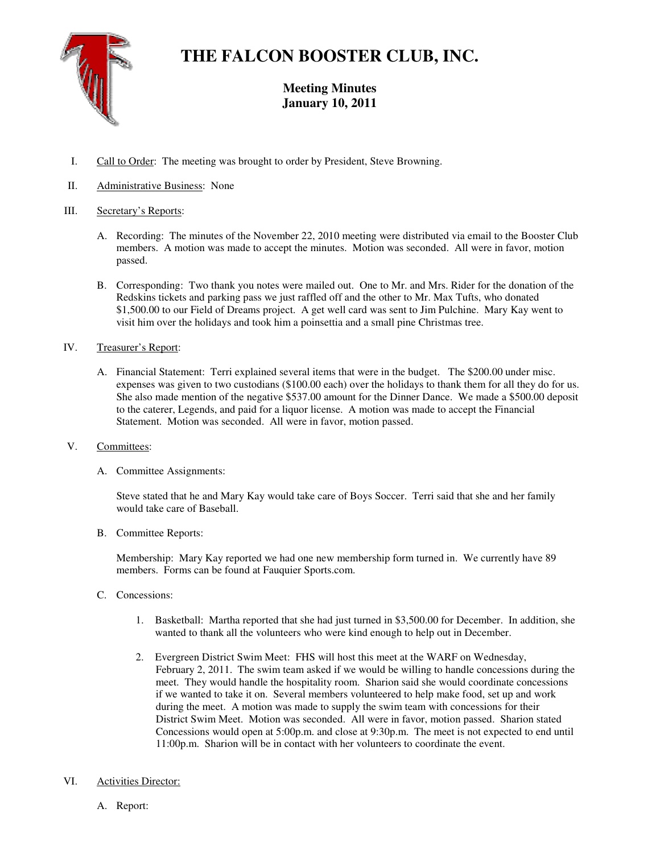

# **THE FALCON BOOSTER CLUB, INC.**

# **Meeting Minutes January 10, 2011**

- I. Call to Order: The meeting was brought to order by President, Steve Browning.
- II. Administrative Business: None

## III. Secretary's Reports:

- A. Recording: The minutes of the November 22, 2010 meeting were distributed via email to the Booster Club members. A motion was made to accept the minutes. Motion was seconded. All were in favor, motion passed.
- B. Corresponding: Two thank you notes were mailed out. One to Mr. and Mrs. Rider for the donation of the Redskins tickets and parking pass we just raffled off and the other to Mr. Max Tufts, who donated \$1,500.00 to our Field of Dreams project. A get well card was sent to Jim Pulchine. Mary Kay went to visit him over the holidays and took him a poinsettia and a small pine Christmas tree.

#### IV. Treasurer's Report:

A. Financial Statement: Terri explained several items that were in the budget. The \$200.00 under misc. expenses was given to two custodians (\$100.00 each) over the holidays to thank them for all they do for us. She also made mention of the negative \$537.00 amount for the Dinner Dance. We made a \$500.00 deposit to the caterer, Legends, and paid for a liquor license. A motion was made to accept the Financial Statement. Motion was seconded. All were in favor, motion passed.

#### V. Committees:

A. Committee Assignments:

Steve stated that he and Mary Kay would take care of Boys Soccer. Terri said that she and her family would take care of Baseball.

B. Committee Reports:

Membership: Mary Kay reported we had one new membership form turned in. We currently have 89 members. Forms can be found at Fauquier Sports.com.

- C. Concessions:
	- 1. Basketball: Martha reported that she had just turned in \$3,500.00 for December. In addition, she wanted to thank all the volunteers who were kind enough to help out in December.
	- 2. Evergreen District Swim Meet: FHS will host this meet at the WARF on Wednesday, February 2, 2011. The swim team asked if we would be willing to handle concessions during the meet. They would handle the hospitality room. Sharion said she would coordinate concessions if we wanted to take it on. Several members volunteered to help make food, set up and work during the meet. A motion was made to supply the swim team with concessions for their District Swim Meet. Motion was seconded. All were in favor, motion passed. Sharion stated Concessions would open at 5:00p.m. and close at 9:30p.m. The meet is not expected to end until 11:00p.m. Sharion will be in contact with her volunteers to coordinate the event.

#### VI. Activities Director:

A. Report: